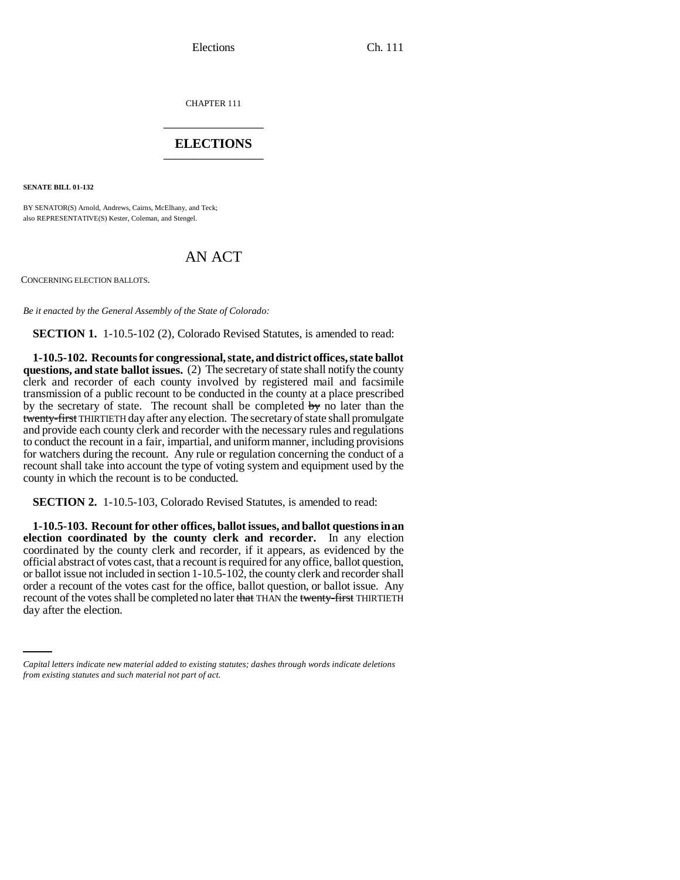Elections Ch. 111

CHAPTER 111 \_\_\_\_\_\_\_\_\_\_\_\_\_\_\_

## **ELECTIONS** \_\_\_\_\_\_\_\_\_\_\_\_\_\_\_

**SENATE BILL 01-132**

BY SENATOR(S) Arnold, Andrews, Cairns, McElhany, and Teck; also REPRESENTATIVE(S) Kester, Coleman, and Stengel.

## AN ACT

CONCERNING ELECTION BALLOTS.

*Be it enacted by the General Assembly of the State of Colorado:*

**SECTION 1.** 1-10.5-102 (2), Colorado Revised Statutes, is amended to read:

**1-10.5-102. Recounts for congressional, state, and district offices, state ballot questions, and state ballot issues.** (2) The secretary of state shall notify the county clerk and recorder of each county involved by registered mail and facsimile transmission of a public recount to be conducted in the county at a place prescribed by the secretary of state. The recount shall be completed  $\frac{1}{y}$  no later than the twenty-first THIRTIETH day after any election. The secretary of state shall promulgate and provide each county clerk and recorder with the necessary rules and regulations to conduct the recount in a fair, impartial, and uniform manner, including provisions for watchers during the recount. Any rule or regulation concerning the conduct of a recount shall take into account the type of voting system and equipment used by the county in which the recount is to be conducted.

**SECTION 2.** 1-10.5-103, Colorado Revised Statutes, is amended to read:

recount of the votes shall be completed no later that THAN the twenty-first THIRTIETH **1-10.5-103. Recount for other offices, ballot issues, and ballot questions in an election coordinated by the county clerk and recorder.** In any election coordinated by the county clerk and recorder, if it appears, as evidenced by the official abstract of votes cast, that a recount is required for any office, ballot question, or ballot issue not included in section 1-10.5-102, the county clerk and recorder shall order a recount of the votes cast for the office, ballot question, or ballot issue. Any day after the election.

*Capital letters indicate new material added to existing statutes; dashes through words indicate deletions from existing statutes and such material not part of act.*